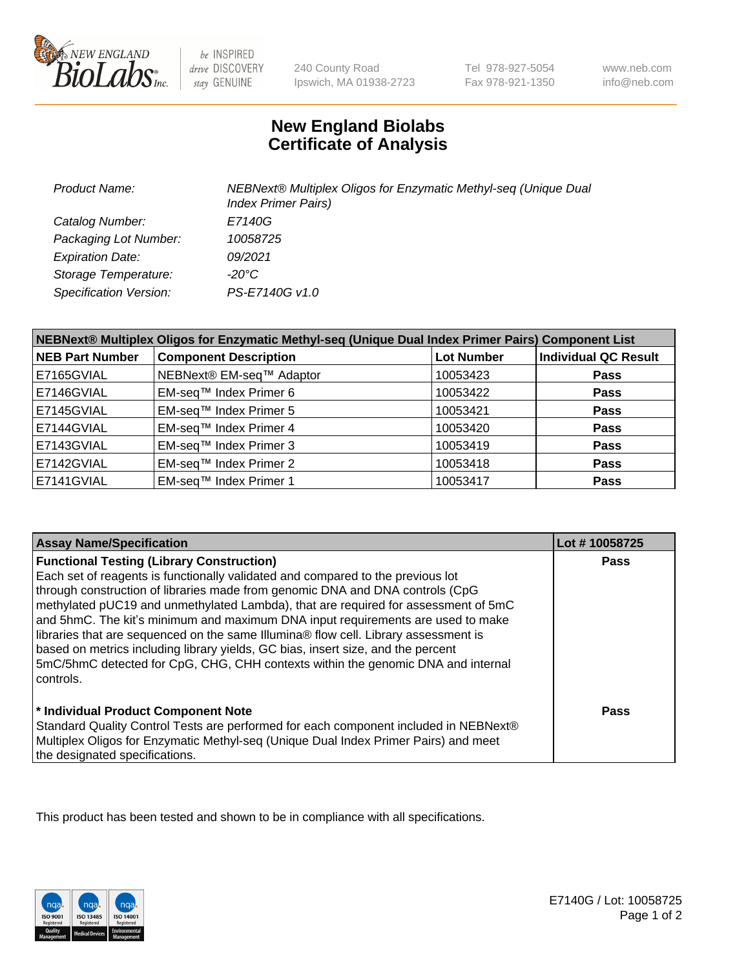

be INSPIRED drive DISCOVERY stay GENUINE

240 County Road Ipswich, MA 01938-2723 Tel 978-927-5054 Fax 978-921-1350

www.neb.com info@neb.com

## **New England Biolabs Certificate of Analysis**

| <b>Product Name:</b>          | NEBNext® Multiplex Oligos for Enzymatic Methyl-seq (Unique Dual<br><b>Index Primer Pairs)</b> |
|-------------------------------|-----------------------------------------------------------------------------------------------|
| Catalog Number:               | E7140G                                                                                        |
| Packaging Lot Number:         | 10058725                                                                                      |
| <b>Expiration Date:</b>       | 09/2021                                                                                       |
| Storage Temperature:          | -20°C                                                                                         |
| <b>Specification Version:</b> | PS-E7140G v1.0                                                                                |

| NEBNext® Multiplex Oligos for Enzymatic Methyl-seq (Unique Dual Index Primer Pairs) Component List |                              |            |                             |  |
|----------------------------------------------------------------------------------------------------|------------------------------|------------|-----------------------------|--|
| <b>NEB Part Number</b>                                                                             | <b>Component Description</b> | Lot Number | <b>Individual QC Result</b> |  |
| E7165GVIAL                                                                                         | NEBNext® EM-seq™ Adaptor     | 10053423   | <b>Pass</b>                 |  |
| E7146GVIAL                                                                                         | EM-seq™ Index Primer 6       | 10053422   | <b>Pass</b>                 |  |
| E7145GVIAL                                                                                         | EM-seq™ Index Primer 5       | 10053421   | <b>Pass</b>                 |  |
| E7144GVIAL                                                                                         | EM-seq™ Index Primer 4       | 10053420   | <b>Pass</b>                 |  |
| E7143GVIAL                                                                                         | EM-seq™ Index Primer 3       | 10053419   | <b>Pass</b>                 |  |
| E7142GVIAL                                                                                         | EM-seq™ Index Primer 2       | 10053418   | <b>Pass</b>                 |  |
| E7141GVIAL                                                                                         | EM-seq™ Index Primer 1       | 10053417   | <b>Pass</b>                 |  |

| <b>Assay Name/Specification</b>                                                      | Lot #10058725 |
|--------------------------------------------------------------------------------------|---------------|
| <b>Functional Testing (Library Construction)</b>                                     | Pass          |
| Each set of reagents is functionally validated and compared to the previous lot      |               |
| through construction of libraries made from genomic DNA and DNA controls (CpG        |               |
| methylated pUC19 and unmethylated Lambda), that are required for assessment of 5mC   |               |
| and 5hmC. The kit's minimum and maximum DNA input requirements are used to make      |               |
| libraries that are sequenced on the same Illumina® flow cell. Library assessment is  |               |
| based on metrics including library yields, GC bias, insert size, and the percent     |               |
| 5mC/5hmC detected for CpG, CHG, CHH contexts within the genomic DNA and internal     |               |
| l controls.                                                                          |               |
|                                                                                      |               |
| * Individual Product Component Note                                                  | Pass          |
| Standard Quality Control Tests are performed for each component included in NEBNext® |               |
| Multiplex Oligos for Enzymatic Methyl-seq (Unique Dual Index Primer Pairs) and meet  |               |
| the designated specifications.                                                       |               |

This product has been tested and shown to be in compliance with all specifications.